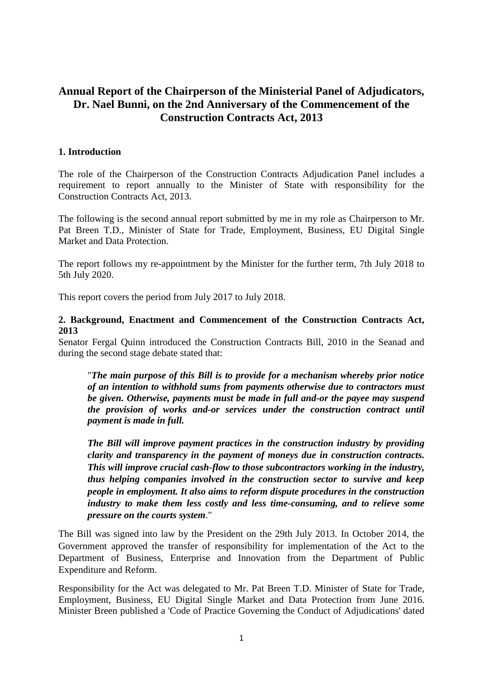# **Annual Report of the Chairperson of the Ministerial Panel of Adjudicators, Dr. Nael Bunni, on the 2nd Anniversary of the Commencement of the Construction Contracts Act, 2013**

### **1. Introduction**

The role of the Chairperson of the Construction Contracts Adjudication Panel includes a requirement to report annually to the Minister of State with responsibility for the Construction Contracts Act, 2013.

The following is the second annual report submitted by me in my role as Chairperson to Mr. Pat Breen T.D., Minister of State for Trade, Employment, Business, EU Digital Single Market and Data Protection.

The report follows my re-appointment by the Minister for the further term, 7th July 2018 to 5th July 2020.

This report covers the period from July 2017 to July 2018.

### **2. Background, Enactment and Commencement of the Construction Contracts Act, 2013**

Senator Fergal Quinn introduced the Construction Contracts Bill, 2010 in the Seanad and during the second stage debate stated that:

"*The main purpose of this Bill is to provide for a mechanism whereby prior notice of an intention to withhold sums from payments otherwise due to contractors must be given. Otherwise, payments must be made in full and-or the payee may suspend the provision of works and-or services under the construction contract until payment is made in full.* 

*The Bill will improve payment practices in the construction industry by providing clarity and transparency in the payment of moneys due in construction contracts. This will improve crucial cash-flow to those subcontractors working in the industry, thus helping companies involved in the construction sector to survive and keep people in employment. It also aims to reform dispute procedures in the construction industry to make them less costly and less time-consuming, and to relieve some pressure on the courts system*."

The Bill was signed into law by the President on the 29th July 2013. In October 2014, the Government approved the transfer of responsibility for implementation of the Act to the Department of Business, Enterprise and Innovation from the Department of Public Expenditure and Reform.

Responsibility for the Act was delegated to Mr. Pat Breen T.D. Minister of State for Trade, Employment, Business, EU Digital Single Market and Data Protection from June 2016. Minister Breen published a 'Code of Practice Governing the Conduct of Adjudications' dated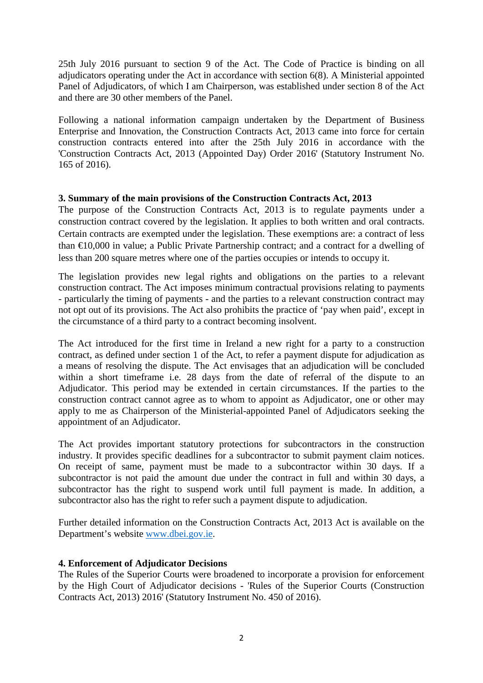25th July 2016 pursuant to section 9 of the Act. The Code of Practice is binding on all adjudicators operating under the Act in accordance with section 6(8). A Ministerial appointed Panel of Adjudicators, of which I am Chairperson, was established under section 8 of the Act and there are 30 other members of the Panel.

Following a national information campaign undertaken by the Department of Business Enterprise and Innovation, the Construction Contracts Act, 2013 came into force for certain construction contracts entered into after the 25th July 2016 in accordance with the 'Construction Contracts Act, 2013 (Appointed Day) Order 2016' (Statutory Instrument No. 165 of 2016).

## **3. Summary of the main provisions of the Construction Contracts Act, 2013**

The purpose of the Construction Contracts Act, 2013 is to regulate payments under a construction contract covered by the legislation. It applies to both written and oral contracts. Certain contracts are exempted under the legislation. These exemptions are: a contract of less than €10,000 in value; a Public Private Partnership contract; and a contract for a dwelling of less than 200 square metres where one of the parties occupies or intends to occupy it.

The legislation provides new legal rights and obligations on the parties to a relevant construction contract. The Act imposes minimum contractual provisions relating to payments - particularly the timing of payments - and the parties to a relevant construction contract may not opt out of its provisions. The Act also prohibits the practice of 'pay when paid', except in the circumstance of a third party to a contract becoming insolvent.

The Act introduced for the first time in Ireland a new right for a party to a construction contract, as defined under section 1 of the Act, to refer a payment dispute for adjudication as a means of resolving the dispute. The Act envisages that an adjudication will be concluded within a short timeframe i.e. 28 days from the date of referral of the dispute to an Adjudicator. This period may be extended in certain circumstances. If the parties to the construction contract cannot agree as to whom to appoint as Adjudicator, one or other may apply to me as Chairperson of the Ministerial-appointed Panel of Adjudicators seeking the appointment of an Adjudicator.

The Act provides important statutory protections for subcontractors in the construction industry. It provides specific deadlines for a subcontractor to submit payment claim notices. On receipt of same, payment must be made to a subcontractor within 30 days. If a subcontractor is not paid the amount due under the contract in full and within 30 days, a subcontractor has the right to suspend work until full payment is made. In addition, a subcontractor also has the right to refer such a payment dispute to adjudication.

Further detailed information on the Construction Contracts Act, 2013 Act is available on the Department's website [www.dbei.gov.ie.](http://www.dbei.gov.ie/)

# **4. Enforcement of Adjudicator Decisions**

The Rules of the Superior Courts were broadened to incorporate a provision for enforcement by the High Court of Adjudicator decisions - 'Rules of the Superior Courts (Construction Contracts Act, 2013) 2016' (Statutory Instrument No. 450 of 2016).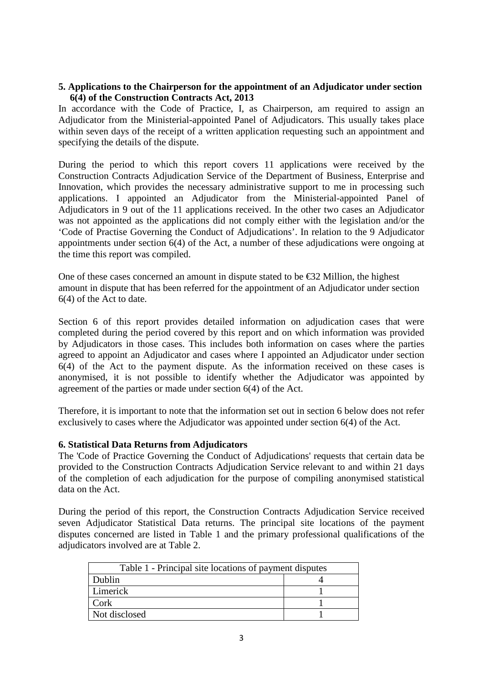### **5. Applications to the Chairperson for the appointment of an Adjudicator under section 6(4) of the Construction Contracts Act, 2013**

In accordance with the Code of Practice, I, as Chairperson, am required to assign an Adjudicator from the Ministerial-appointed Panel of Adjudicators. This usually takes place within seven days of the receipt of a written application requesting such an appointment and specifying the details of the dispute.

During the period to which this report covers 11 applications were received by the Construction Contracts Adjudication Service of the Department of Business, Enterprise and Innovation, which provides the necessary administrative support to me in processing such applications. I appointed an Adjudicator from the Ministerial-appointed Panel of Adjudicators in 9 out of the 11 applications received. In the other two cases an Adjudicator was not appointed as the applications did not comply either with the legislation and/or the 'Code of Practise Governing the Conduct of Adjudications'. In relation to the 9 Adjudicator appointments under section 6(4) of the Act, a number of these adjudications were ongoing at the time this report was compiled.

One of these cases concerned an amount in dispute stated to be  $\epsilon$ 32 Million, the highest amount in dispute that has been referred for the appointment of an Adjudicator under section 6(4) of the Act to date.

Section 6 of this report provides detailed information on adjudication cases that were completed during the period covered by this report and on which information was provided by Adjudicators in those cases. This includes both information on cases where the parties agreed to appoint an Adjudicator and cases where I appointed an Adjudicator under section 6(4) of the Act to the payment dispute. As the information received on these cases is anonymised, it is not possible to identify whether the Adjudicator was appointed by agreement of the parties or made under section 6(4) of the Act.

Therefore, it is important to note that the information set out in section 6 below does not refer exclusively to cases where the Adjudicator was appointed under section 6(4) of the Act.

### **6. Statistical Data Returns from Adjudicators**

The 'Code of Practice Governing the Conduct of Adjudications' requests that certain data be provided to the Construction Contracts Adjudication Service relevant to and within 21 days of the completion of each adjudication for the purpose of compiling anonymised statistical data on the Act.

During the period of this report, the Construction Contracts Adjudication Service received seven Adjudicator Statistical Data returns. The principal site locations of the payment disputes concerned are listed in Table 1 and the primary professional qualifications of the adjudicators involved are at Table 2.

| Table 1 - Principal site locations of payment disputes |  |
|--------------------------------------------------------|--|
| Dublin                                                 |  |
| Limerick                                               |  |
| Cork                                                   |  |
| Not disclosed                                          |  |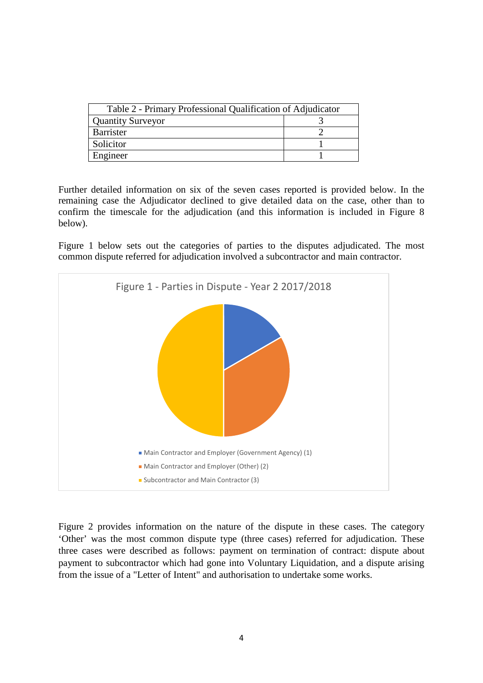| Table 2 - Primary Professional Qualification of Adjudicator |  |
|-------------------------------------------------------------|--|
| <b>Quantity Surveyor</b>                                    |  |
| Barrister                                                   |  |
| Solicitor                                                   |  |
| Engineer                                                    |  |

Further detailed information on six of the seven cases reported is provided below. In the remaining case the Adjudicator declined to give detailed data on the case, other than to confirm the timescale for the adjudication (and this information is included in Figure 8 below).

Figure 1 below sets out the categories of parties to the disputes adjudicated. The most common dispute referred for adjudication involved a subcontractor and main contractor.



Figure 2 provides information on the nature of the dispute in these cases. The category 'Other' was the most common dispute type (three cases) referred for adjudication. These three cases were described as follows: payment on termination of contract: dispute about payment to subcontractor which had gone into Voluntary Liquidation, and a dispute arising from the issue of a "Letter of Intent" and authorisation to undertake some works.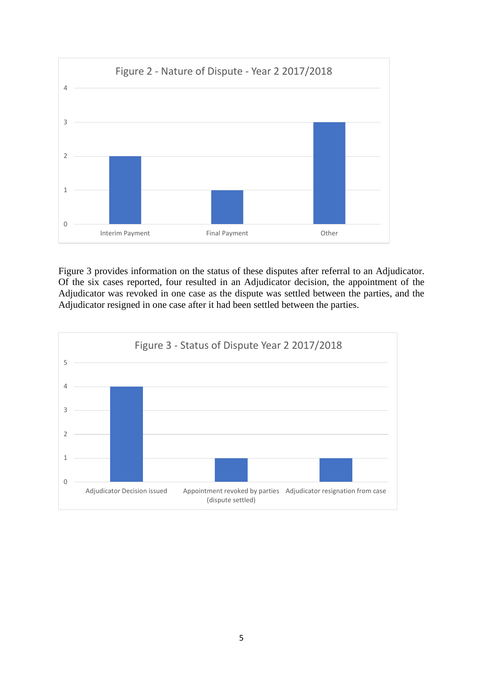

Figure 3 provides information on the status of these disputes after referral to an Adjudicator. Of the six cases reported, four resulted in an Adjudicator decision, the appointment of the Adjudicator was revoked in one case as the dispute was settled between the parties, and the Adjudicator resigned in one case after it had been settled between the parties.

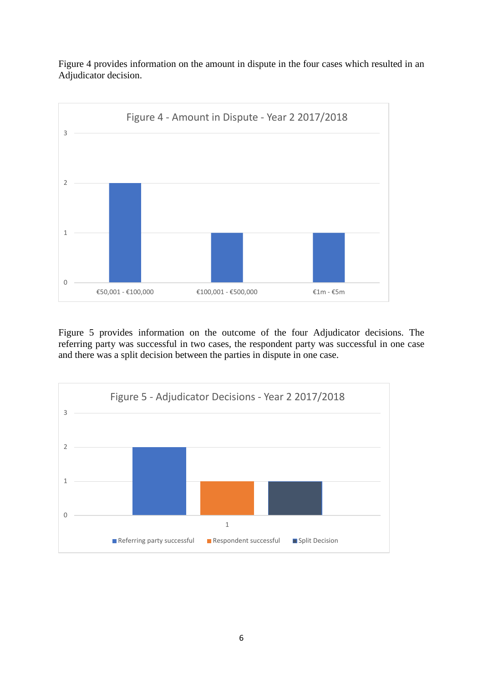Figure 4 provides information on the amount in dispute in the four cases which resulted in an Adjudicator decision.



Figure 5 provides information on the outcome of the four Adjudicator decisions. The referring party was successful in two cases, the respondent party was successful in one case and there was a split decision between the parties in dispute in one case.

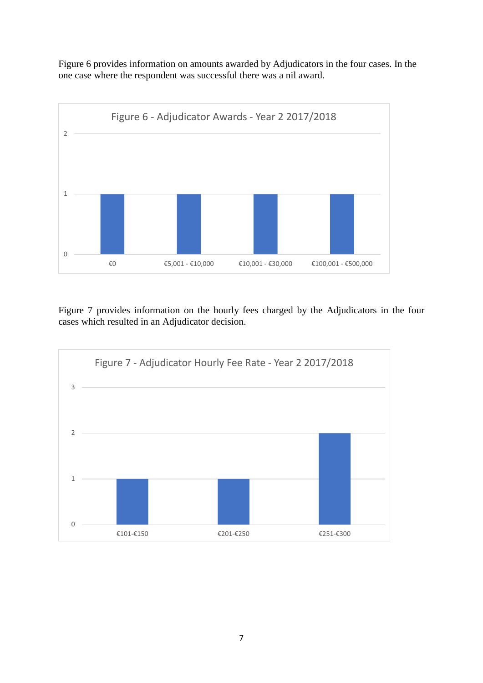Figure 6 provides information on amounts awarded by Adjudicators in the four cases. In the one case where the respondent was successful there was a nil award.



Figure 7 provides information on the hourly fees charged by the Adjudicators in the four cases which resulted in an Adjudicator decision.

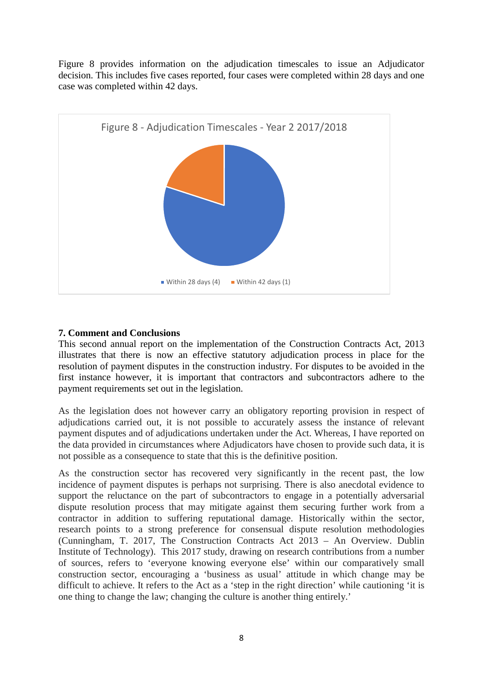Figure 8 provides information on the adjudication timescales to issue an Adjudicator decision. This includes five cases reported, four cases were completed within 28 days and one case was completed within 42 days.



## **7. Comment and Conclusions**

This second annual report on the implementation of the Construction Contracts Act, 2013 illustrates that there is now an effective statutory adjudication process in place for the resolution of payment disputes in the construction industry. For disputes to be avoided in the first instance however, it is important that contractors and subcontractors adhere to the payment requirements set out in the legislation.

As the legislation does not however carry an obligatory reporting provision in respect of adjudications carried out, it is not possible to accurately assess the instance of relevant payment disputes and of adjudications undertaken under the Act. Whereas, I have reported on the data provided in circumstances where Adjudicators have chosen to provide such data, it is not possible as a consequence to state that this is the definitive position.

As the construction sector has recovered very significantly in the recent past, the low incidence of payment disputes is perhaps not surprising. There is also anecdotal evidence to support the reluctance on the part of subcontractors to engage in a potentially adversarial dispute resolution process that may mitigate against them securing further work from a contractor in addition to suffering reputational damage. Historically within the sector, research points to a strong preference for consensual dispute resolution methodologies (Cunningham, T. 2017, The Construction Contracts Act 2013 – An Overview. Dublin Institute of Technology). This 2017 study, drawing on research contributions from a number of sources, refers to 'everyone knowing everyone else' within our comparatively small construction sector, encouraging a 'business as usual' attitude in which change may be difficult to achieve. It refers to the Act as a 'step in the right direction' while cautioning 'it is one thing to change the law; changing the culture is another thing entirely.'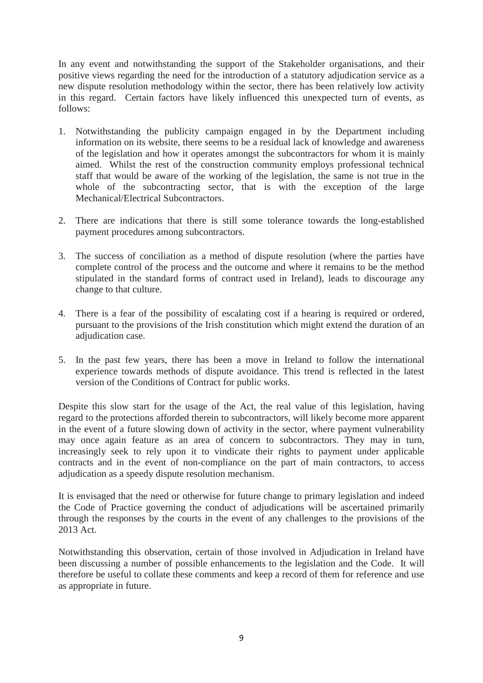In any event and notwithstanding the support of the Stakeholder organisations, and their positive views regarding the need for the introduction of a statutory adjudication service as a new dispute resolution methodology within the sector, there has been relatively low activity in this regard. Certain factors have likely influenced this unexpected turn of events, as follows:

- 1. Notwithstanding the publicity campaign engaged in by the Department including information on its website, there seems to be a residual lack of knowledge and awareness of the legislation and how it operates amongst the subcontractors for whom it is mainly aimed. Whilst the rest of the construction community employs professional technical staff that would be aware of the working of the legislation, the same is not true in the whole of the subcontracting sector, that is with the exception of the large Mechanical/Electrical Subcontractors.
- 2. There are indications that there is still some tolerance towards the long-established payment procedures among subcontractors.
- 3. The success of conciliation as a method of dispute resolution (where the parties have complete control of the process and the outcome and where it remains to be the method stipulated in the standard forms of contract used in Ireland), leads to discourage any change to that culture.
- 4. There is a fear of the possibility of escalating cost if a hearing is required or ordered, pursuant to the provisions of the Irish constitution which might extend the duration of an adjudication case.
- 5. In the past few years, there has been a move in Ireland to follow the international experience towards methods of dispute avoidance. This trend is reflected in the latest version of the Conditions of Contract for public works.

Despite this slow start for the usage of the Act, the real value of this legislation, having regard to the protections afforded therein to subcontractors, will likely become more apparent in the event of a future slowing down of activity in the sector, where payment vulnerability may once again feature as an area of concern to subcontractors. They may in turn, increasingly seek to rely upon it to vindicate their rights to payment under applicable contracts and in the event of non-compliance on the part of main contractors, to access adjudication as a speedy dispute resolution mechanism.

It is envisaged that the need or otherwise for future change to primary legislation and indeed the Code of Practice governing the conduct of adjudications will be ascertained primarily through the responses by the courts in the event of any challenges to the provisions of the 2013 Act.

Notwithstanding this observation, certain of those involved in Adjudication in Ireland have been discussing a number of possible enhancements to the legislation and the Code. It will therefore be useful to collate these comments and keep a record of them for reference and use as appropriate in future.